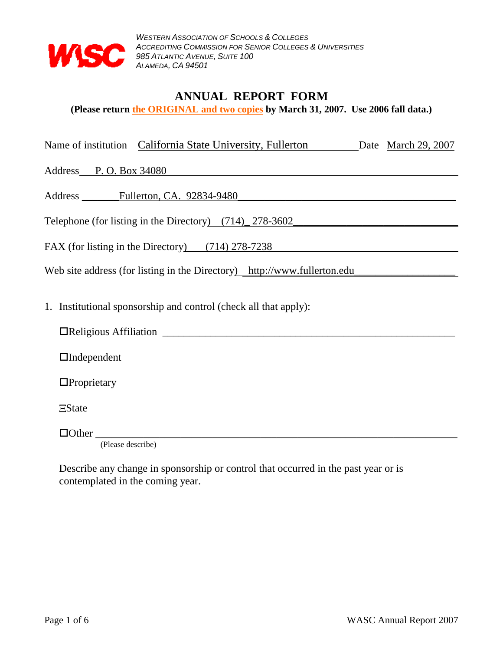

## **ANNUAL REPORT FORM**

**(Please return the ORIGINAL and two copies by March 31, 2007. Use 2006 fall data.)**

|  | Name of institution California State University, Fullerton |  | Date March 29, 2007 |
|--|------------------------------------------------------------|--|---------------------|
|--|------------------------------------------------------------|--|---------------------|

Address P. O. Box 34080

Address Fullerton, CA. 92834-9480

Telephone (for listing in the Directory)  $(714)$   $278-3602$ 

FAX (for listing in the Directory) (714) 278-7238

Web site address (for listing in the Directory) http://www.fullerton.edu\_\_\_\_\_\_\_\_\_\_\_\_\_\_\_\_\_\_\_

1. Institutional sponsorship and control (check all that apply):

Religious Affiliation \_\_\_\_\_\_\_\_\_\_\_\_\_\_\_\_\_\_\_\_\_\_\_\_\_\_\_\_\_\_\_\_\_\_\_\_\_\_\_\_\_\_\_\_\_\_\_\_\_\_\_\_\_\_\_

Independent

**O**Proprietary

**EState** 

Other \_\_\_\_\_\_\_\_\_\_\_\_\_\_\_\_\_\_\_\_\_\_\_\_\_\_\_\_\_\_\_\_\_\_\_\_\_\_\_\_\_\_\_\_\_\_\_\_\_\_\_\_\_\_\_\_\_\_\_\_\_\_\_\_\_\_\_\_

(Please describe)

Describe any change in sponsorship or control that occurred in the past year or is contemplated in the coming year.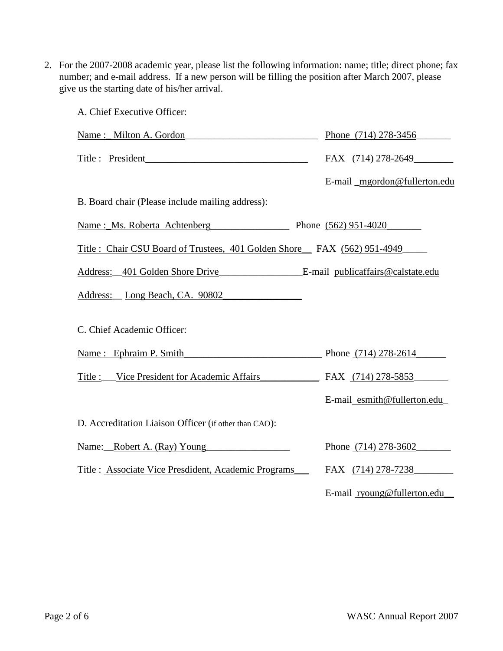2. For the 2007-2008 academic year, please list the following information: name; title; direct phone; fax number; and e-mail address. If a new person will be filling the position after March 2007, please give us the starting date of his/her arrival.

| A. Chief Executive Officer:                                             |                              |
|-------------------------------------------------------------------------|------------------------------|
| Name: Milton A. Gordon                                                  | Phone (714) 278-3456         |
| Title : President                                                       | FAX (714) 278-2649           |
|                                                                         | E-mail mgordon@fullerton.edu |
| B. Board chair (Please include mailing address):                        |                              |
| Name: Ms. Roberta Achtenberg Phone (562) 951-4020                       |                              |
| Title: Chair CSU Board of Trustees, 401 Golden Shore FAX (562) 951-4949 |                              |
|                                                                         |                              |
| Address: Long Beach, CA. 90802                                          |                              |
| C. Chief Academic Officer:                                              |                              |
| Name: Ephraim P. Smith                                                  | Phone (714) 278-2614         |
| Title : Vice President for Academic Affairs                             | FAX (714) 278-5853           |
|                                                                         | E-mail_esmith@fullerton.edu_ |
| D. Accreditation Liaison Officer (if other than CAO):                   |                              |
| Name: Robert A. (Ray) Young                                             | Phone (714) 278-3602         |
| Title : Associate Vice Presdident, Academic Programs                    | FAX (714) 278-7238           |
|                                                                         | E-mail ryoung@fullerton.edu  |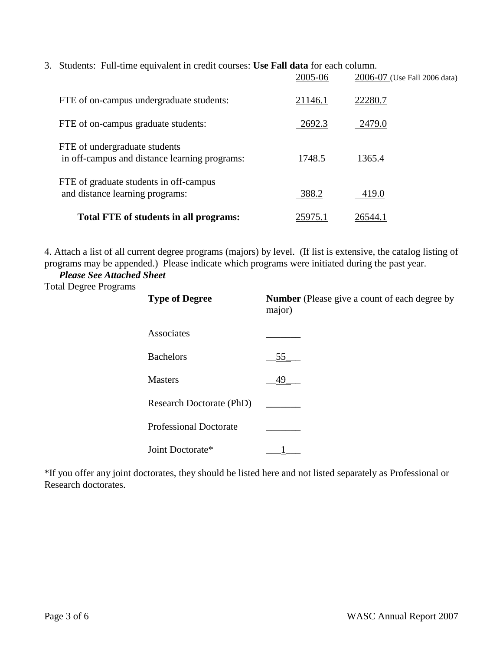3. Students: Full-time equivalent in credit courses: **Use Fall data** for each column.

|                                                                                | 2005-06 | 2006-07 (Use Fall 2006 data) |
|--------------------------------------------------------------------------------|---------|------------------------------|
| FTE of on-campus undergraduate students:                                       | 21146.1 | 22280.7                      |
| FTE of on-campus graduate students:                                            | 2692.3  | 2479.0                       |
| FTE of undergraduate students<br>in off-campus and distance learning programs: | 1748.5  | 1365.4                       |
| FTE of graduate students in off-campus<br>and distance learning programs:      | 388.2   | 419.0                        |
| Total FTE of students in all programs:                                         | 25975.1 | 26544.1                      |

4. Attach a list of all current degree programs (majors) by level. (If list is extensive, the catalog listing of programs may be appended.) Please indicate which programs were initiated during the past year.

 *Please See Attached Sheet*

Total Degree Programs

| <b>Type of Degree</b>         | <b>Number</b> (Please give a count of each degree by<br>major) |  |  |
|-------------------------------|----------------------------------------------------------------|--|--|
| Associates                    |                                                                |  |  |
| <b>Bachelors</b>              | 55                                                             |  |  |
| <b>Masters</b>                | 49                                                             |  |  |
| Research Doctorate (PhD)      |                                                                |  |  |
| <b>Professional Doctorate</b> |                                                                |  |  |
| Joint Doctorate*              |                                                                |  |  |

\*If you offer any joint doctorates, they should be listed here and not listed separately as Professional or Research doctorates.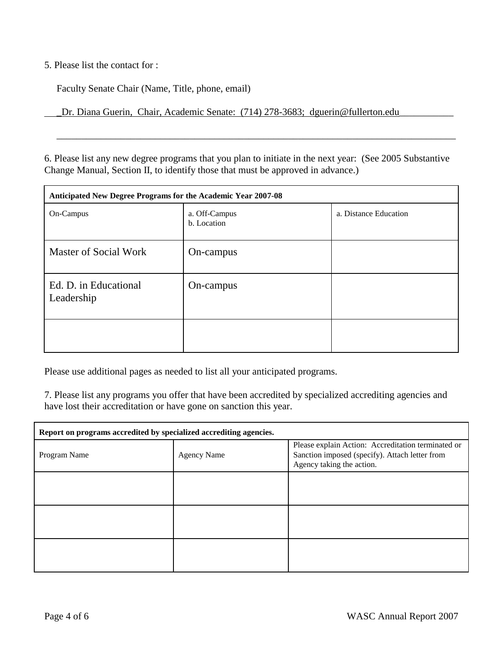5. Please list the contact for :

Faculty Senate Chair (Name, Title, phone, email)

\_Dr. Diana Guerin, Chair, Academic Senate: (714) 278-3683; dguerin@fullerton.edu\_\_\_\_\_\_\_\_\_\_\_

6. Please list any new degree programs that you plan to initiate in the next year: (See 2005 Substantive Change Manual, Section II, to identify those that must be approved in advance.)

\_\_\_\_\_\_\_\_\_\_\_\_\_\_\_\_\_\_\_\_\_\_\_\_\_\_\_\_\_\_\_\_\_\_\_\_\_\_\_\_\_\_\_\_\_\_\_\_\_\_\_\_\_\_\_\_\_\_\_\_\_\_\_\_\_\_\_\_\_\_\_\_\_\_\_\_\_\_\_\_\_

| Anticipated New Degree Programs for the Academic Year 2007-08 |                              |                       |  |
|---------------------------------------------------------------|------------------------------|-----------------------|--|
| On-Campus                                                     | a. Off-Campus<br>b. Location | a. Distance Education |  |
| Master of Social Work                                         | On-campus                    |                       |  |
| Ed. D. in Educational<br>Leadership                           | On-campus                    |                       |  |
|                                                               |                              |                       |  |

Please use additional pages as needed to list all your anticipated programs.

7. Please list any programs you offer that have been accredited by specialized accrediting agencies and have lost their accreditation or have gone on sanction this year.

| Report on programs accredited by specialized accrediting agencies. |                    |                                                                                                                                   |  |
|--------------------------------------------------------------------|--------------------|-----------------------------------------------------------------------------------------------------------------------------------|--|
| Program Name                                                       | <b>Agency Name</b> | Please explain Action: Accreditation terminated or<br>Sanction imposed (specify). Attach letter from<br>Agency taking the action. |  |
|                                                                    |                    |                                                                                                                                   |  |
|                                                                    |                    |                                                                                                                                   |  |
|                                                                    |                    |                                                                                                                                   |  |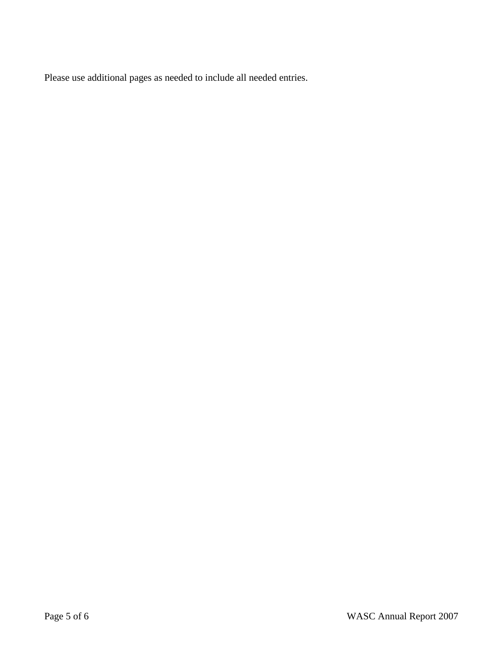Please use additional pages as needed to include all needed entries.